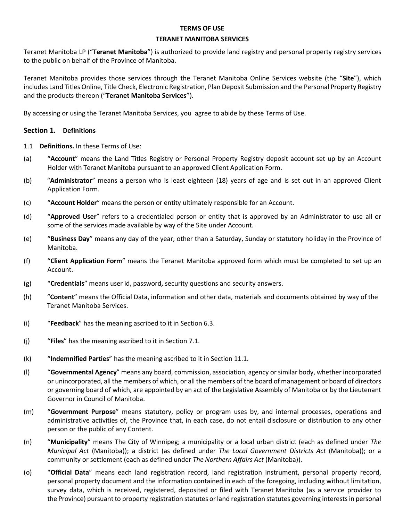#### **TERMS OF USE**

#### **TERANET MANITOBA SERVICES**

Teranet Manitoba LP ("**Teranet Manitoba**") is authorized to provide land registry and personal property registry services to the public on behalf of the Province of Manitoba.

Teranet Manitoba provides those services through the Teranet Manitoba Online Services website (the "**Site**"), which includes Land Titles Online, Title Check, Electronic Registration, Plan Deposit Submission and the Personal Property Registry and the products thereon ("**Teranet Manitoba Services**").

By accessing or using the Teranet Manitoba Services, you agree to abide by these Terms of Use.

# **Section 1. Definitions**

- 1.1 **Definitions.** In these Terms of Use:
- (a) "**Account**" means the Land Titles Registry or Personal Property Registry deposit account set up by an Account Holder with Teranet Manitoba pursuant to an approved Client Application Form.
- (b) "**Administrator**" means a person who is least eighteen (18) years of age and is set out in an approved Client Application Form.
- (c) "**Account Holder**" means the person or entity ultimately responsible for an Account.
- (d) "**Approved User**" refers to a credentialed person or entity that is approved by an Administrator to use all or some of the services made available by way of the Site under Account.
- (e) "**Business Day**" means any day of the year, other than a Saturday, Sunday or statutory holiday in the Province of Manitoba.
- (f) "**Client Application Form**" means the Teranet Manitoba approved form which must be completed to set up an Account.
- (g) "**Credentials**" means user id, password**,** security questions and security answers.
- (h) "**Content**" means the Official Data, information and other data, materials and documents obtained by way of the Teranet Manitoba Services.
- (i) "**Feedback**" has the meaning ascribed to it in Section 6.3.
- (j) "**Files**" has the meaning ascribed to it in Section 7.1.
- (k) "**Indemnified Parties**" has the meaning ascribed to it in Section 11.1.
- (l) "**Governmental Agency**" means any board, commission, association, agency or similar body, whether incorporated or unincorporated, all the members of which, or all the members of the board of management or board of directors or governing board of which, are appointed by an act of the Legislative Assembly of Manitoba or by the Lieutenant Governor in Council of Manitoba.
- (m) "**Government Purpose**" means statutory, policy or program uses by, and internal processes, operations and administrative activities of, the Province that, in each case, do not entail disclosure or distribution to any other person or the public of any Content.
- (n) "**Municipality**" means The City of Winnipeg; a municipality or a local urban district (each as defined under *The Municipal Act* (Manitoba)); a district (as defined under *The Local Government Districts Act* (Manitoba)); or a community or settlement (each as defined under *The Northern Affairs Act* (Manitoba)).
- (o) "**Official Data**" means each land registration record, land registration instrument, personal property record, personal property document and the information contained in each of the foregoing, including without limitation, survey data, which is received, registered, deposited or filed with Teranet Manitoba (as a service provider to the Province) pursuantto property registration statutes or land registration statutes governing interestsin personal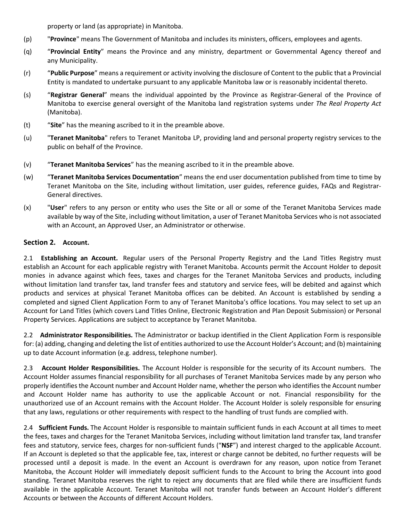property or land (as appropriate) in Manitoba.

- (p) "**Province**" means The Government of Manitoba and includes its ministers, officers, employees and agents.
- (q) "**Provincial Entity**" means the Province and any ministry, department or Governmental Agency thereof and any Municipality.
- (r) "**Public Purpose**" means a requirement or activity involving the disclosure of Content to the public that a Provincial Entity is mandated to undertake pursuant to any applicable Manitoba law or is reasonably incidental thereto.
- (s) "**Registrar General**" means the individual appointed by the Province as Registrar-General of the Province of Manitoba to exercise general oversight of the Manitoba land registration systems under *The Real Property Act*  (Manitoba).
- (t) "**Site**" has the meaning ascribed to it in the preamble above.
- (u) "**Teranet Manitoba**" refers to Teranet Manitoba LP, providing land and personal property registry services to the public on behalf of the Province.
- (v) "**Teranet Manitoba Services**" has the meaning ascribed to it in the preamble above.
- (w) "**Teranet Manitoba Services Documentation**" means the end user documentation published from time to time by Teranet Manitoba on the Site, including without limitation, user guides, reference guides, FAQs and Registrar-General directives.
- (x) "**User**" refers to any person or entity who uses the Site or all or some of the Teranet Manitoba Services made available by way of the Site, including without limitation, a user of Teranet Manitoba Services who is not associated with an Account, an Approved User, an Administrator or otherwise.

# **Section 2. Account.**

2.1 **Establishing an Account.** Regular users of the Personal Property Registry and the Land Titles Registry must establish an Account for each applicable registry with Teranet Manitoba. Accounts permit the Account Holder to deposit monies in advance against which fees, taxes and charges for the Teranet Manitoba Services and products, including without limitation land transfer tax, land transfer fees and statutory and service fees, will be debited and against which products and services at physical Teranet Manitoba offices can be debited. An Account is established by sending a completed and signed Client Application Form to any of Teranet Manitoba's office locations. You may select to set up an Account for Land Titles (which covers Land Titles Online, Electronic Registration and Plan Deposit Submission) or Personal Property Services. Applications are subject to acceptance by Teranet Manitoba.

2.2 **Administrator Responsibilities.** The Administrator or backup identified in the Client Application Form is responsible for: (a) adding, changing and deleting the list of entities authorized to use the Account Holder's Account; and (b) maintaining up to date Account information (e.g. address, telephone number).

2.3 **Account Holder Responsibilities.** The Account Holder is responsible for the security of its Account numbers. The Account Holder assumes financial responsibility for all purchases of Teranet Manitoba Services made by any person who properly identifies the Account number and Account Holder name, whether the person who identifies the Account number and Account Holder name has authority to use the applicable Account or not. Financial responsibility for the unauthorized use of an Account remains with the Account Holder. The Account Holder is solely responsible for ensuring that any laws, regulations or other requirements with respect to the handling of trust funds are complied with.

2.4 **Sufficient Funds.** The Account Holder is responsible to maintain sufficient funds in each Account at all times to meet the fees, taxes and charges for the Teranet Manitoba Services, including without limitation land transfer tax, land transfer fees and statutory, service fees, charges for non-sufficient funds ("**NSF**") and interest charged to the applicable Account. If an Account is depleted so that the applicable fee, tax, interest or charge cannot be debited, no further requests will be processed until a deposit is made. In the event an Account is overdrawn for any reason, upon notice from Teranet Manitoba, the Account Holder will immediately deposit sufficient funds to the Account to bring the Account into good standing. Teranet Manitoba reserves the right to reject any documents that are filed while there are insufficient funds available in the applicable Account. Teranet Manitoba will not transfer funds between an Account Holder's different Accounts or between the Accounts of different Account Holders.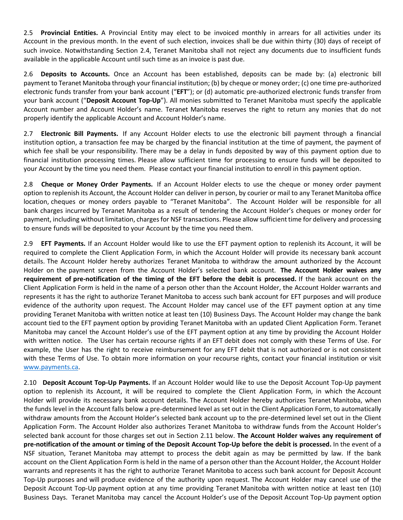2.5 **Provincial Entities.** A Provincial Entity may elect to be invoiced monthly in arrears for all activities under its Account in the previous month. In the event of such election, invoices shall be due within thirty (30) days of receipt of such invoice. Notwithstanding Section 2.4, Teranet Manitoba shall not reject any documents due to insufficient funds available in the applicable Account until such time as an invoice is past due.

2.6 **Deposits to Accounts.** Once an Account has been established, deposits can be made by: (a) electronic bill payment to Teranet Manitoba through your financial institution; (b) by cheque or money order; (c) one time pre-authorized electronic funds transfer from your bank account ("**EFT**"); or (d) automatic pre-authorized electronic funds transfer from your bank account ("**Deposit Account Top-Up**"). All monies submitted to Teranet Manitoba must specify the applicable Account number and Account Holder's name. Teranet Manitoba reserves the right to return any monies that do not properly identify the applicable Account and Account Holder's name.

2.7 **Electronic Bill Payments.** If any Account Holder elects to use the electronic bill payment through a financial institution option, a transaction fee may be charged by the financial institution at the time of payment, the payment of which fee shall be your responsibility. There may be a delay in funds deposited by way of this payment option due to financial institution processing times. Please allow sufficient time for processing to ensure funds will be deposited to your Account by the time you need them. Please contact your financial institution to enroll in this payment option.

2.8 **Cheque or Money Order Payments.** If an Account Holder elects to use the cheque or money order payment option to replenish its Account, the Account Holder can deliver in person, by courier or mail to any Teranet Manitoba office location, cheques or money orders payable to "Teranet Manitoba". The Account Holder will be responsible for all bank charges incurred by Teranet Manitoba as a result of tendering the Account Holder's cheques or money order for payment, including without limitation, chargesfor NSF transactions. Please allow sufficienttime for delivery and processing to ensure funds will be deposited to your Account by the time you need them.

2.9 **EFT Payments.** If an Account Holder would like to use the EFT payment option to replenish its Account, it will be required to complete the Client Application Form, in which the Account Holder will provide its necessary bank account details. The Account Holder hereby authorizes Teranet Manitoba to withdraw the amount authorized by the Account Holder on the payment screen from the Account Holder's selected bank account. **The Account Holder waives any requirement of pre-notification of the timing of the EFT before the debit is processed.** If the bank account on the Client Application Form is held in the name of a person other than the Account Holder, the Account Holder warrants and represents it has the right to authorize Teranet Manitoba to access such bank account for EFT purposes and will produce evidence of the authority upon request. The Account Holder may cancel use of the EFT payment option at any time providing Teranet Manitoba with written notice at least ten (10) Business Days. The Account Holder may change the bank account tied to the EFT payment option by providing Teranet Manitoba with an updated Client Application Form. Teranet Manitoba may cancel the Account Holder's use of the EFT payment option at any time by providing the Account Holder with written notice. The User has certain recourse rights if an EFT debit does not comply with these Terms of Use. For example, the User has the right to receive reimbursement for any EFT debit that is not authorized or is not consistent with these Terms of Use. To obtain more information on your recourse rights, contact your financial institution or visit [www.payments.ca.](http://www.payments.ca/)

2.10 **Deposit Account Top-Up Payments.** If an Account Holder would like to use the Deposit Account Top-Up payment option to replenish its Account, it will be required to complete the Client Application Form, in which the Account Holder will provide its necessary bank account details. The Account Holder hereby authorizes Teranet Manitoba, when the funds level in the Account falls below a pre-determined level as set out in the Client Application Form, to automatically withdraw amounts from the Account Holder's selected bank account up to the pre-determined level set out in the Client Application Form. The Account Holder also authorizes Teranet Manitoba to withdraw funds from the Account Holder's selected bank account for those charges set out in Section 2.11 below. **The Account Holder waives any requirement of**  pre-notification of the amount or timing of the Deposit Account Top-Up before the debit is processed. In the event of a NSF situation, Teranet Manitoba may attempt to process the debit again as may be permitted by law. If the bank account on the Client Application Form is held in the name of a person other than the Account Holder, the Account Holder warrants and represents it has the right to authorize Teranet Manitoba to access such bank account for Deposit Account Top-Up purposes and will produce evidence of the authority upon request. The Account Holder may cancel use of the Deposit Account Top-Up payment option at any time providing Teranet Manitoba with written notice at least ten (10) Business Days. Teranet Manitoba may cancel the Account Holder's use of the Deposit Account Top-Up payment option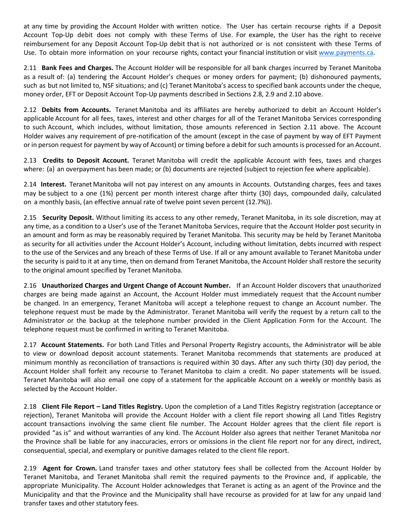at any time by providing the Account Holder with written notice. The User has certain recourse rights if a Deposit Account Top-Up debit does not comply with these Terms of Use. For example, the User has the right to receive reimbursement for any Deposit Account Top-Up debit that is not authorized or is not consistent with these Terms of Use. To obtain more information on your recourse rights, contact your financial institution or visi[t www.payments.ca.](http://www.payments.ca/)

2.11 **Bank Fees and Charges.** The Account Holder will be responsible for all bank charges incurred by Teranet Manitoba as a result of: (a) tendering the Account Holder's cheques or money orders for payment; (b) dishonoured payments, such as but not limited to, NSF situations; and (c) Teranet Manitoba's access to specified bank accounts under the cheque, money order, EFT or Deposit Account Top-Up payments described in Sections 2.8, 2.9 and 2.10 above.

2.12 **Debits from Accounts.** Teranet Manitoba and its affiliates are hereby authorized to debit an Account Holder's applicable Account for all fees, taxes, interest and other charges for all of the Teranet Manitoba Services corresponding to such Account, which includes, without limitation, those amounts referenced in Section 2.11 above. The Account Holder waives any requirement of pre-notification of the amount (except in the case of payment by way of EFT Payment or in person request for payment by way of Account) or timing before a debit forsuch amounts is processed for an Account.

2.13 **Credits to Deposit Account.** Teranet Manitoba will credit the applicable Account with fees, taxes and charges where: (a) an overpayment has been made; or (b) documents are rejected (subject to rejection fee where applicable).

2.14 **Interest.** Teranet Manitoba will not pay interest on any amounts in Accounts. Outstanding charges, fees and taxes may be subject to a one (1%) percent per month interest charge after thirty (30) days, compounded daily, calculated on a monthly basis, (an effective annual rate of twelve point seven percent (12.7%)).

2.15 **Security Deposit.** Without limiting its access to any other remedy, Teranet Manitoba, in its sole discretion, may at any time, as a condition to a User's use of the Teranet Manitoba Services, require that the Account Holder post security in an amount and form as may be reasonably required by Teranet Manitoba. This security may be held by Teranet Manitoba as security for all activities under the Account Holder's Account, including without limitation, debts incurred with respect to the use of the Services and any breach of these Terms of Use. If all or any amount available to Teranet Manitoba under the security is paid to it at any time, then on demand from Teranet Manitoba, the Account Holder shall restore the security to the original amount specified by Teranet Manitoba.

2.16 **Unauthorized Charges and Urgent Change of Account Number.** If an Account Holder discovers that unauthorized charges are being made against an Account, the Account Holder must immediately request that the Account number be changed. In an emergency, Teranet Manitoba will accept a telephone request to change an Account number. The telephone request must be made by the Administrator. Teranet Manitoba will verify the request by a return call to the Administrator or the backup at the telephone number provided in the Client Application Form for the Account. The telephone request must be confirmed in writing to Teranet Manitoba.

2.17 **Account Statements.** For both Land Titles and Personal Property Registry accounts, the Administrator will be able to view or download deposit account statements. Teranet Manitoba recommends that statements are produced at minimum monthly as reconciliation of transactions is required within 30 days. After any such thirty (30) day period, the Account Holder shall forfeit any recourse to Teranet Manitoba to claim a credit. No paper statements will be issued. Teranet Manitoba will also email one copy of a statement for the applicable Account on a weekly or monthly basis as selected by the Account Holder.

2.18 **Client File Report – Land Titles Registry.** Upon the completion of a Land Titles Registry registration (acceptance or rejection), Teranet Manitoba will provide the Account Holder with a client file report showing all Land Titles Registry account transactions involving the same client file number. The Account Holder agrees that the client file report is provided "as is" and without warranties of any kind. The Account Holder also agrees that neither Teranet Manitoba nor the Province shall be liable for any inaccuracies, errors or omissions in the client file report nor for any direct, indirect, consequential, special, and exemplary or punitive damages related to the client file report.

2.19 **Agent for Crown.** Land transfer taxes and other statutory fees shall be collected from the Account Holder by Teranet Manitoba, and Teranet Manitoba shall remit the required payments to the Province and, if applicable, the appropriate Municipality. The Account Holder acknowledges that Teranet is acting as an agent of the Province and the Municipality and that the Province and the Municipality shall have recourse as provided for at law for any unpaid land transfer taxes and other statutory fees.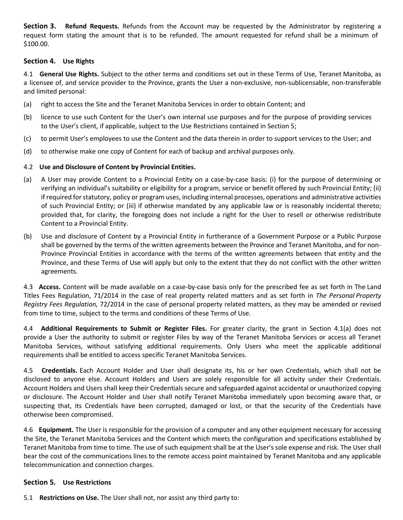**Section 3. Refund Requests.** Refunds from the Account may be requested by the Administrator by registering a request form stating the amount that is to be refunded. The amount requested for refund shall be a minimum of \$100.00.

# **Section 4. Use Rights**

4.1 **General Use Rights.** Subject to the other terms and conditions set out in these Terms of Use, Teranet Manitoba, as a licensee of, and service provider to the Province, grants the User a non-exclusive, non-sublicensable, non-transferable and limited personal:

- (a) right to access the Site and the Teranet Manitoba Services in order to obtain Content; and
- (b) licence to use such Content for the User's own internal use purposes and for the purpose of providing services to the User's client, if applicable, subject to the Use Restrictions contained in Section 5;
- (c) to permit User's employees to use the Content and the data therein in order to support services to the User; and
- (d) to otherwise make one copy of Content for each of backup and archival purposes only.

# 4.2 **Use and Disclosure of Content by Provincial Entities.**

- (a) A User may provide Content to a Provincial Entity on a case-by-case basis: (i) for the purpose of determining or verifying an individual's suitability or eligibility for a program, service or benefit offered by such Provincial Entity; (ii) if required forstatutory, policy or program uses, including internal processes, operations and administrative activities of such Provincial Entity; or (iii) if otherwise mandated by any applicable law or is reasonably incidental thereto; provided that, for clarity, the foregoing does not include a right for the User to resell or otherwise redistribute Content to a Provincial Entity.
- (b) Use and disclosure of Content by a Provincial Entity in furtherance of a Government Purpose or a Public Purpose shall be governed by the terms of the written agreements between the Province and Teranet Manitoba, and for non-Province Provincial Entities in accordance with the terms of the written agreements between that entity and the Province, and these Terms of Use will apply but only to the extent that they do not conflict with the other written agreements.

4.3 **Access.** Content will be made available on a case-by-case basis only for the prescribed fee as set forth in The Land Titles Fees Regulation, 71/2014 in the case of real property related matters and as set forth in *The Personal Property Registry Fees Regulation,* 72/2014 in the case of personal property related matters, as they may be amended or revised from time to time, subject to the terms and conditions of these Terms of Use.

4.4 **Additional Requirements to Submit or Register Files.** For greater clarity, the grant in Section 4.1(a) does not provide a User the authority to submit or register Files by way of the Teranet Manitoba Services or access all Teranet Manitoba Services, without satisfying additional requirements. Only Users who meet the applicable additional requirements shall be entitled to access specific Teranet Manitoba Services.

4.5 **Credentials.** Each Account Holder and User shall designate its, his or her own Credentials, which shall not be disclosed to anyone else. Account Holders and Users are solely responsible for all activity under their Credentials. Account Holders and Users shall keep their Credentials secure and safeguarded against accidental or unauthorized copying or disclosure. The Account Holder and User shall notify Teranet Manitoba immediately upon becoming aware that, or suspecting that, its Credentials have been corrupted, damaged or lost, or that the security of the Credentials have otherwise been compromised.

4.6 **Equipment.** The User is responsible for the provision of a computer and any other equipment necessary for accessing the Site, the Teranet Manitoba Services and the Content which meets the configuration and specifications established by Teranet Manitoba from time to time. The use of such equipment shall be at the User's sole expense and risk. The User shall bear the cost of the communications lines to the remote access point maintained by Teranet Manitoba and any applicable telecommunication and connection charges.

### **Section 5. Use Restrictions**

5.1 **Restrictions on Use.** The User shall not, nor assist any third party to: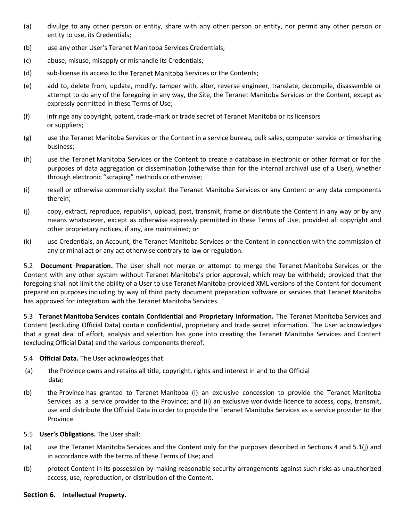- (a) divulge to any other person or entity, share with any other person or entity, nor permit any other person or entity to use, its Credentials;
- (b) use any other User's Teranet Manitoba Services Credentials;
- (c) abuse, misuse, misapply or mishandle its Credentials;
- (d) sub-license its access to the Teranet Manitoba Services or the Contents;
- (e) add to, delete from, update, modify, tamper with, alter, reverse engineer, translate, decompile, disassemble or attempt to do any of the foregoing in any way, the Site, the Teranet Manitoba Services or the Content, except as expressly permitted in these Terms of Use;
- (f) infringe any copyright, patent, trade-mark or trade secret of Teranet Manitoba or its licensors or suppliers;
- (g) use the Teranet Manitoba Services or the Content in a service bureau, bulk sales, computer service or timesharing business;
- (h) use the Teranet Manitoba Services or the Content to create a database in electronic or other format or for the purposes of data aggregation or dissemination (otherwise than for the internal archival use of a User), whether through electronic "scraping" methods or otherwise;
- (i) resell or otherwise commercially exploit the Teranet Manitoba Services or any Content or any data components therein;
- (j) copy, extract, reproduce, republish, upload, post, transmit, frame or distribute the Content in any way or by any means whatsoever, except as otherwise expressly permitted in these Terms of Use, provided all copyright and other proprietary notices, if any, are maintained; or
- (k) use Credentials, an Account, the Teranet Manitoba Services or the Content in connection with the commission of any criminal act or any act otherwise contrary to law or regulation.

5.2 **Document Preparation.** The User shall not merge or attempt to merge the Teranet Manitoba Services or the Content with any other system without Teranet Manitoba's prior approval, which may be withheld; provided that the foregoing shall not limit the ability of a User to use Teranet Manitoba-provided XML versions of the Content for document preparation purposes including by way of third party document preparation software or services that Teranet Manitoba has approved for integration with the Teranet Manitoba Services.

5.3 **Teranet Manitoba Services contain Confidential and Proprietary Information.** The Teranet Manitoba Services and Content (excluding Official Data) contain confidential, proprietary and trade secret information. The User acknowledges that a great deal of effort, analysis and selection has gone into creating the Teranet Manitoba Services and Content (excluding Official Data) and the various components thereof.

- 5.4 **Official Data.** The User acknowledges that:
- (a) the Province owns and retains all title, copyright, rights and interest in and to the Official data;
- (b) the Province has granted to Teranet Manitoba (i) an exclusive concession to provide the Teranet Manitoba Services as a service provider to the Province; and (ii) an exclusive worldwide licence to access, copy, transmit, use and distribute the Official Data in order to provide the Teranet Manitoba Services as a service provider to the Province.
- 5.5 **User's Obligations.** The User shall:
- (a) use the Teranet Manitoba Services and the Content only for the purposes described in Sections 4 and 5.1(j) and in accordance with the terms of these Terms of Use; and
- (b) protect Content in its possession by making reasonable security arrangements against such risks as unauthorized access, use, reproduction, or distribution of the Content.

#### **Section 6. Intellectual Property.**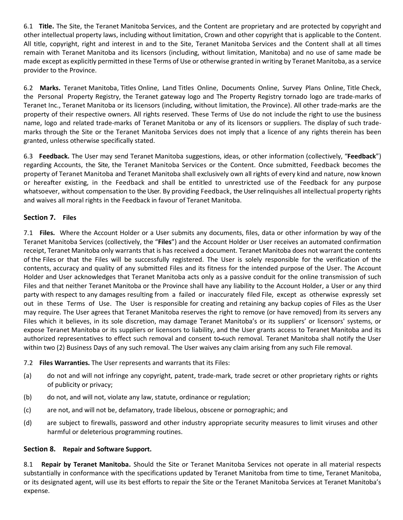6.1 **Title.** The Site, the Teranet Manitoba Services, and the Content are proprietary and are protected by copyright and other intellectual property laws, including without limitation, Crown and other copyright that is applicable to the Content. All title, copyright, right and interest in and to the Site, Teranet Manitoba Services and the Content shall at all times remain with Teranet Manitoba and its licensors (including, without limitation, Manitoba) and no use of same made be made except as explicitly permitted in these Terms of Use or otherwise granted in writing by Teranet Manitoba, as a service provider to the Province.

6.2 **Marks.** Teranet Manitoba, Titles Online, Land Titles Online, Documents Online, Survey Plans Online, Title Check, the Personal Property Registry, the Teranet gateway logo and The Property Registry tornado logo are trade-marks of Teranet Inc., Teranet Manitoba or its licensors (including, without limitation, the Province). All other trade-marks are the property of their respective owners. All rights reserved. These Terms of Use do not include the right to use the business name, logo and related trade-marks of Teranet Manitoba or any of its licensors or suppliers. The display of such trademarks through the Site or the Teranet Manitoba Services does not imply that a licence of any rights therein has been granted, unless otherwise specifically stated.

6.3 **Feedback.** The User may send Teranet Manitoba suggestions, ideas, or other information (collectively, "**Feedback**") regarding Accounts, the Site, the Teranet Manitoba Services or the Content. Once submitted, Feedback becomes the property of Teranet Manitoba and Teranet Manitoba shall exclusively own all rights of every kind and nature, now known or hereafter existing, in the Feedback and shall be entitled to unrestricted use of the Feedback for any purpose whatsoever, without compensation to the User. By providing Feedback, the User relinquishes all intellectual property rights and waives all moral rights in the Feedback in favour of Teranet Manitoba.

# **Section 7. Files**

7.1 **Files.** Where the Account Holder or a User submits any documents, files, data or other information by way of the Teranet Manitoba Services (collectively, the "**Files**") and the Account Holder or User receives an automated confirmation receipt, Teranet Manitoba only warrants that is has received a document. Teranet Manitoba does not warrant the contents of the Files or that the Files will be successfully registered. The User is solely responsible for the verification of the contents, accuracy and quality of any submitted Files and its fitness for the intended purpose of the User. The Account Holder and User acknowledges that Teranet Manitoba acts only as a passive conduit for the online transmission of such Files and that neither Teranet Manitoba or the Province shall have any liability to the Account Holder, a User or any third party with respect to any damages resulting from a failed or inaccurately filed File, except as otherwise expressly set out in these Terms of Use. The User is responsible for creating and retaining any backup copies of Files as the User may require. The User agrees that Teranet Manitoba reserves the right to remove (or have removed) from its servers any Files which it believes, in its sole discretion, may damage Teranet Manitoba's or its suppliers' or licensors' systems, or expose Teranet Manitoba or its suppliers or licensors to liability, and the User grants access to Teranet Manitoba and its authorized representatives to effect such removal and consent to-such removal. Teranet Manitoba shall notify the User within two (2) Business Days of any such removal. The User waives any claim arising from any such File removal.

- 7.2 **Files Warranties.** The User represents and warrants that its Files:
- (a) do not and will not infringe any copyright, patent, trade-mark, trade secret or other proprietary rights or rights of publicity or privacy;
- (b) do not, and will not, violate any law, statute, ordinance or regulation;
- (c) are not, and will not be, defamatory, trade libelous, obscene or pornographic; and
- (d) are subject to firewalls, password and other industry appropriate security measures to limit viruses and other harmful or deleterious programming routines.

# **Section 8. Repair and Software Support.**

8.1 **Repair by Teranet Manitoba.** Should the Site or Teranet Manitoba Services not operate in all material respects substantially in conformance with the specifications updated by Teranet Manitoba from time to time, Teranet Manitoba, or its designated agent, will use its best efforts to repair the Site or the Teranet Manitoba Services at Teranet Manitoba's expense.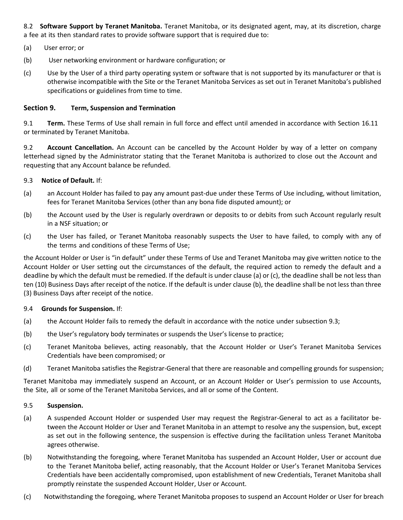8.2 **Software Support by Teranet Manitoba.** Teranet Manitoba, or its designated agent, may, at its discretion, charge a fee at its then standard rates to provide software support that is required due to:

- (a) User error; or
- (b) User networking environment or hardware configuration; or
- (c) Use by the User of a third party operating system or software that is not supported by its manufacturer or that is otherwise incompatible with the Site or the Teranet Manitoba Services as set out in Teranet Manitoba's published specifications or guidelines from time to time.

### **Section 9. Term, Suspension and Termination**

9.1 **Term.** These Terms of Use shall remain in full force and effect until amended in accordance with Section 16.11 or terminated by Teranet Manitoba.

9.2 **Account Cancellation.** An Account can be cancelled by the Account Holder by way of a letter on company letterhead signed by the Administrator stating that the Teranet Manitoba is authorized to close out the Account and requesting that any Account balance be refunded.

### 9.3 **Notice of Default.** If:

- (a) an Account Holder has failed to pay any amount past-due under these Terms of Use including, without limitation, fees for Teranet Manitoba Services (other than any bona fide disputed amount); or
- (b) the Account used by the User is regularly overdrawn or deposits to or debits from such Account regularly result in a NSF situation; or
- (c) the User has failed, or Teranet Manitoba reasonably suspects the User to have failed, to comply with any of the terms and conditions of these Terms of Use;

the Account Holder or User is "in default" under these Terms of Use and Teranet Manitoba may give written notice to the Account Holder or User setting out the circumstances of the default, the required action to remedy the default and a deadline by which the default must be remedied. If the default is under clause (a) or (c), the deadline shall be not less than ten (10) Business Days after receipt of the notice. If the default is under clause (b), the deadline shall be not less than three (3) Business Days after receipt of the notice.

### 9.4 **Grounds for Suspension.** If:

- (a) the Account Holder fails to remedy the default in accordance with the notice under subsection 9.3;
- (b) the User's regulatory body terminates or suspends the User's license to practice;
- (c) Teranet Manitoba believes, acting reasonably, that the Account Holder or User's Teranet Manitoba Services Credentials have been compromised; or
- (d) Teranet Manitoba satisfies the Registrar-General that there are reasonable and compelling grounds for suspension;

Teranet Manitoba may immediately suspend an Account, or an Account Holder or User's permission to use Accounts, the Site, all or some of the Teranet Manitoba Services, and all or some of the Content.

### 9.5 **Suspension.**

- (a) A suspended Account Holder or suspended User may request the Registrar-General to act as a facilitator between the Account Holder or User and Teranet Manitoba in an attempt to resolve any the suspension, but, except as set out in the following sentence, the suspension is effective during the facilitation unless Teranet Manitoba agrees otherwise.
- (b) Notwithstanding the foregoing, where Teranet Manitoba has suspended an Account Holder, User or account due to the Teranet Manitoba belief, acting reasonably, that the Account Holder or User's Teranet Manitoba Services Credentials have been accidentally compromised, upon establishment of new Credentials, Teranet Manitoba shall promptly reinstate the suspended Account Holder, User or Account.
- (c) Notwithstanding the foregoing, where Teranet Manitoba proposes to suspend an Account Holder or User for breach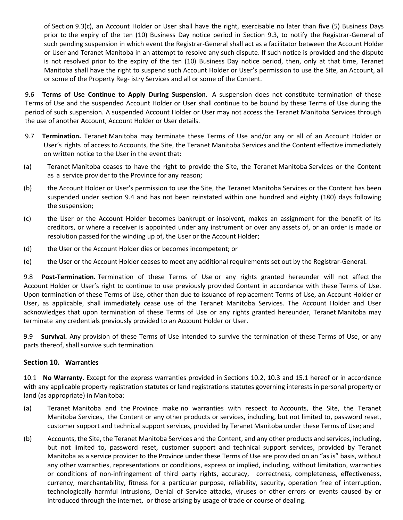of Section 9.3(c), an Account Holder or User shall have the right, exercisable no later than five (5) Business Days prior to the expiry of the ten (10) Business Day notice period in Section 9.3, to notify the Registrar-General of such pending suspension in which event the Registrar-General shall act as a facilitator between the Account Holder or User and Teranet Manitoba in an attempt to resolve any such dispute. If such notice is provided and the dispute is not resolved prior to the expiry of the ten (10) Business Day notice period, then, only at that time, Teranet Manitoba shall have the right to suspend such Account Holder or User's permission to use the Site, an Account, all or some of the Property Reg- istry Services and all or some of the Content.

9.6 **Terms of Use Continue to Apply During Suspension.** A suspension does not constitute termination of these Terms of Use and the suspended Account Holder or User shall continue to be bound by these Terms of Use during the period of such suspension. A suspended Account Holder or User may not access the Teranet Manitoba Services through the use of another Account, Account Holder or User details.

- 9.7 **Termination.** Teranet Manitoba may terminate these Terms of Use and/or any or all of an Account Holder or User's rights of access to Accounts, the Site, the Teranet Manitoba Services and the Content effective immediately on written notice to the User in the event that:
- (a) Teranet Manitoba ceases to have the right to provide the Site, the Teranet Manitoba Services or the Content as a service provider to the Province for any reason;
- (b) the Account Holder or User's permission to use the Site, the Teranet Manitoba Services or the Content has been suspended under section 9.4 and has not been reinstated within one hundred and eighty (180) days following the suspension;
- (c) the User or the Account Holder becomes bankrupt or insolvent, makes an assignment for the benefit of its creditors, or where a receiver is appointed under any instrument or over any assets of, or an order is made or resolution passed for the winding up of, the User or the Account Holder;
- (d) the User or the Account Holder dies or becomes incompetent; or
- (e) the User or the Account Holder ceases to meet any additional requirements set out by the Registrar-General.

9.8 **Post-Termination.** Termination of these Terms of Use or any rights granted hereunder will not affect the Account Holder or User's right to continue to use previously provided Content in accordance with these Terms of Use. Upon termination of these Terms of Use, other than due to issuance of replacement Terms of Use, an Account Holder or User, as applicable, shall immediately cease use of the Teranet Manitoba Services. The Account Holder and User acknowledges that upon termination of these Terms of Use or any rights granted hereunder, Teranet Manitoba may terminate any credentials previously provided to an Account Holder or User.

9.9 **Survival.** Any provision of these Terms of Use intended to survive the termination of these Terms of Use, or any parts thereof, shall survive such termination.

# **Section 10. Warranties**

10.1 **No Warranty.** Except for the express warranties provided in Sections 10.2, 10.3 and 15.1 hereof or in accordance with any applicable property registration statutes or land registrations statutes governing interests in personal property or land (as appropriate) in Manitoba:

- (a) Teranet Manitoba and the Province make no warranties with respect to Accounts, the Site, the Teranet Manitoba Services, the Content or any other products or services, including, but not limited to, password reset, customer support and technical support services, provided by Teranet Manitoba under these Terms of Use; and
- (b) Accounts, the Site, the Teranet Manitoba Services and the Content, and any other products and services, including, but not limited to, password reset, customer support and technical support services, provided by Teranet Manitoba as a service provider to the Province under these Terms of Use are provided on an "as is" basis, without any other warranties, representations or conditions, express or implied, including, without limitation, warranties or conditions of non-infringement of third party rights, accuracy, correctness, completeness, effectiveness, currency, merchantability, fitness for a particular purpose, reliability, security, operation free of interruption, technologically harmful intrusions, Denial of Service attacks, viruses or other errors or events caused by or introduced through the internet, or those arising by usage of trade or course of dealing.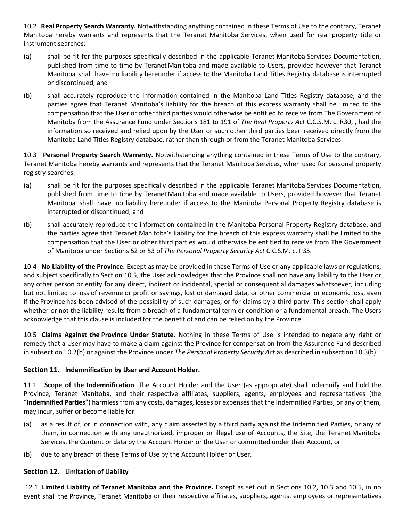10.2 **Real Property Search Warranty.** Notwithstanding anything contained in these Terms of Use to the contrary, Teranet Manitoba hereby warrants and represents that the Teranet Manitoba Services, when used for real property title or instrument searches:

- (a) shall be fit for the purposes specifically described in the applicable Teranet Manitoba Services Documentation, published from time to time by Teranet Manitoba and made available to Users, provided however that Teranet Manitoba shall have no liability hereunder if access to the Manitoba Land Titles Registry database is interrupted or discontinued; and
- (b) shall accurately reproduce the information contained in the Manitoba Land Titles Registry database, and the parties agree that Teranet Manitoba's liability for the breach of this express warranty shall be limited to the compensation that the User or other third parties would otherwise be entitled to receive from The Government of Manitoba from the Assurance Fund under Sections 181 to 191 of *The Real Property Act* C.C.S.M. c. R30, , had the information so received and relied upon by the User or such other third parties been received directly from the Manitoba Land Titles Registry database, rather than through or from the Teranet Manitoba Services.

10.3 **Personal Property Search Warranty.** Notwithstanding anything contained in these Terms of Use to the contrary, Teranet Manitoba hereby warrants and represents that the Teranet Manitoba Services, when used for personal property registry searches:

- (a) shall be fit for the purposes specifically described in the applicable Teranet Manitoba Services Documentation, published from time to time by Teranet Manitoba and made available to Users, provided however that Teranet Manitoba shall have no liability hereunder if access to the Manitoba Personal Property Registry database is interrupted or discontinued; and
- (b) shall accurately reproduce the information contained in the Manitoba Personal Property Registry database, and the parties agree that Teranet Manitoba's liability for the breach of this express warranty shall be limited to the compensation that the User or other third parties would otherwise be entitled to receive from The Government of Manitoba under Sections 52 or 53 of *The Personal Property Security Act* C.C.S.M. c. P35.

10.4 **No Liability of the Province.** Except as may be provided in these Terms of Use or any applicable laws or regulations, and subject specifically to Section 10.5, the User acknowledges that the Province shall not have any liability to the User or any other person or entity for any direct, indirect or incidental, special or consequential damages whatsoever, including but not limited to loss of revenue or profit or savings, lost or damaged data, or other commercial or economic loss, even if the Province has been advised of the possibility of such damages; or for claims by a third party. This section shall apply whether or not the liability results from a breach of a fundamental term or condition or a fundamental breach. The Users acknowledge that this clause is included for the benefit of and can be relied on by the Province.

10.5 **Claims Against the Province Under Statute.** Nothing in these Terms of Use is intended to negate any right or remedy that a User may have to make a claim against the Province for compensation from the Assurance Fund described in subsection 10.2(b) or against the Province under *The Personal Property Security Act* as described in subsection 10.3(b).

# **Section 11. Indemnification by User and Account Holder.**

11.1 **Scope of the Indemnification**. The Account Holder and the User (as appropriate) shall indemnify and hold the Province, Teranet Manitoba, and their respective affiliates, suppliers, agents, employees and representatives (the "**Indemnified Parties**") harmless from any costs, damages, losses or expenses that the Indemnified Parties, or any of them, may incur, suffer or become liable for:

- (a) as a result of, or in connection with, any claim asserted by a third party against the Indemnified Parties, or any of them, in connection with any unauthorized, improper or illegal use of Accounts, the Site, the Teranet Manitoba Services, the Content or data by the Account Holder or the User or committed under their Account, or
- (b) due to any breach of these Terms of Use by the Account Holder or User.

### **Section 12. Limitation of Liability**

12.1 **Limited Liability of Teranet Manitoba and the Province.** Except as set out in Sections 10.2, 10.3 and 10.5, in no event shall the Province, Teranet Manitoba or their respective affiliates, suppliers, agents, employees or representatives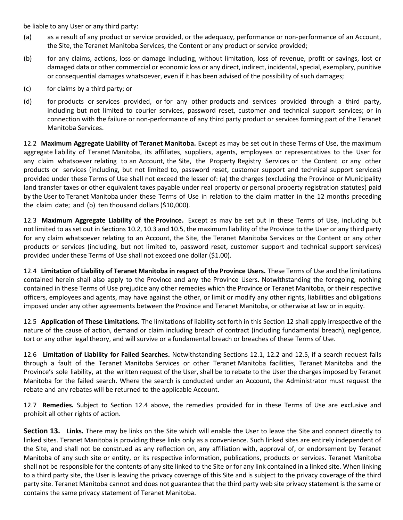be liable to any User or any third party:

- (a) as a result of any product or service provided, or the adequacy, performance or non-performance of an Account, the Site, the Teranet Manitoba Services, the Content or any product or service provided;
- (b) for any claims, actions, loss or damage including, without limitation, loss of revenue, profit or savings, lost or damaged data or other commercial or economic loss or any direct, indirect, incidental, special, exemplary, punitive or consequential damages whatsoever, even if it has been advised of the possibility of such damages;
- (c) for claims by a third party; or
- (d) for products or services provided, or for any other products and services provided through a third party, including but not limited to courier services, password reset, customer and technical support services; or in connection with the failure or non-performance of any third party product or services forming part of the Teranet Manitoba Services.

12.2 **Maximum Aggregate Liability of Teranet Manitoba.** Except as may be set out in these Terms of Use, the maximum aggregate liability of Teranet Manitoba, its affiliates, suppliers, agents, employees or representatives to the User for any claim whatsoever relating to an Account, the Site, the Property Registry Services or the Content or any other products or services (including, but not limited to, password reset, customer support and technical support services) provided under these Terms of Use shall not exceed the lesser of: (a) the charges (excluding the Province or Municipality land transfer taxes or other equivalent taxes payable under real property or personal property registration statutes) paid by the User to Teranet Manitoba under these Terms of Use in relation to the claim matter in the 12 months preceding the claim date; and (b) ten thousand dollars (\$10,000).

12.3 **Maximum Aggregate Liability of the Province.** Except as may be set out in these Terms of Use, including but not limited to as set out in Sections 10.2, 10.3 and 10.5, the maximum liability of the Province to the User or any third party for any claim whatsoever relating to an Account, the Site, the Teranet Manitoba Services or the Content or any other products or services (including, but not limited to, password reset, customer support and technical support services) provided under these Terms of Use shall not exceed one dollar (\$1.00).

12.4 **Limitation of Liability of Teranet Manitoba in respect of the Province Users.** These Terms of Use and the limitations contained herein shall also apply to the Province and any the Province Users. Notwithstanding the foregoing, nothing contained in these Terms of Use prejudice any other remedies which the Province or Teranet Manitoba, or their respective officers, employees and agents, may have against the other, or limit or modify any other rights, liabilities and obligations imposed under any other agreements between the Province and Teranet Manitoba, or otherwise at law or in equity.

12.5 **Application of These Limitations.** The limitations of liability set forth in this Section 12 shall apply irrespective of the nature of the cause of action, demand or claim including breach of contract (including fundamental breach), negligence, tort or any other legal theory, and will survive or a fundamental breach or breaches of these Terms of Use.

12.6 **Limitation of Liability for Failed Searches.** Notwithstanding Sections 12.1, 12.2 and 12.5, if a search request fails through a fault of the Teranet Manitoba Services or other Teranet Manitoba facilities, Teranet Manitoba and the Province's sole liability, at the written request of the User, shall be to rebate to the User the charges imposed by Teranet Manitoba for the failed search. Where the search is conducted under an Account, the Administrator must request the rebate and any rebates will be returned to the applicable Account.

12.7 **Remedies.** Subject to Section 12.4 above, the remedies provided for in these Terms of Use are exclusive and prohibit all other rights of action.

**Section 13. Links.** There may be links on the Site which will enable the User to leave the Site and connect directly to linked sites. Teranet Manitoba is providing these links only as a convenience. Such linked sites are entirely independent of the Site, and shall not be construed as any reflection on, any affiliation with, approval of, or endorsement by Teranet Manitoba of any such site or entity, or its respective information, publications, products or services. Teranet Manitoba shall not be responsible for the contents of any site linked to the Site or for any link contained in a linked site. When linking to a third party site, the User is leaving the privacy coverage of this Site and is subject to the privacy coverage of the third party site. Teranet Manitoba cannot and does not guarantee that the third party web site privacy statement is the same or contains the same privacy statement of Teranet Manitoba.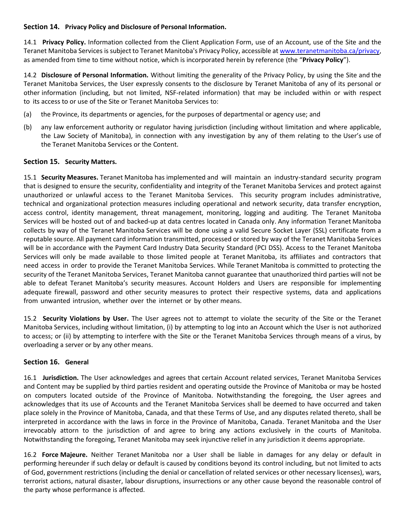# **Section 14. Privacy Policy and Disclosure of Personal Information.**

14.1 **Privacy Policy.** Information collected from the Client Application Form, use of an Account, use of the Site and the Teranet Manitoba Services is subject to Teranet Manitoba's Privacy Policy, accessible at [www.teranetmanitoba.ca/privacy,](http://www.teranetmanitoba.ca/privacy) as amended from time to time without notice, which is incorporated herein by reference (the "**Privacy Policy**").

14.2 **Disclosure of Personal Information.** Without limiting the generality of the Privacy Policy, by using the Site and the Teranet Manitoba Services, the User expressly consents to the disclosure by Teranet Manitoba of any of its personal or other information (including, but not limited, NSF-related information) that may be included within or with respect to its access to or use of the Site or Teranet Manitoba Services to:

- (a) the Province, its departments or agencies, for the purposes of departmental or agency use; and
- (b) any law enforcement authority or regulator having jurisdiction (including without limitation and where applicable, the Law Society of Manitoba), in connection with any investigation by any of them relating to the User's use of the Teranet Manitoba Services or the Content.

# **Section 15. Security Matters.**

15.1 **Security Measures.** Teranet Manitoba has implemented and will maintain an industry-standard security program that is designed to ensure the security, confidentiality and integrity of the Teranet Manitoba Services and protect against unauthorized or unlawful access to the Teranet Manitoba Services. This security program includes administrative, technical and organizational protection measures including operational and network security, data transfer encryption, access control, identity management, threat management, monitoring, logging and auditing. The Teranet Manitoba Services will be hosted out of and backed-up at data centres located in Canada only. Any information Teranet Manitoba collects by way of the Teranet Manitoba Services will be done using a valid Secure Socket Layer (SSL) certificate from a reputable source. All payment card information transmitted, processed or stored by way of the Teranet Manitoba Services will be in accordance with the Payment Card Industry Data Security Standard (PCI DSS). Access to the Teranet Manitoba Services will only be made available to those limited people at Teranet Manitoba, its affiliates and contractors that need access in order to provide the Teranet Manitoba Services. While Teranet Manitoba is committed to protecting the security of the Teranet Manitoba Services, Teranet Manitoba cannot guarantee that unauthorized third parties will not be able to defeat Teranet Manitoba's security measures. Account Holders and Users are responsible for implementing adequate firewall, password and other security measures to protect their respective systems, data and applications from unwanted intrusion, whether over the internet or by other means.

15.2 **Security Violations by User.** The User agrees not to attempt to violate the security of the Site or the Teranet Manitoba Services, including without limitation, (i) by attempting to log into an Account which the User is not authorized to access; or (ii) by attempting to interfere with the Site or the Teranet Manitoba Services through means of a virus, by overloading a server or by any other means.

### **Section 16. General**

16.1 **Jurisdiction.** The User acknowledges and agrees that certain Account related services, Teranet Manitoba Services and Content may be supplied by third parties resident and operating outside the Province of Manitoba or may be hosted on computers located outside of the Province of Manitoba. Notwithstanding the foregoing, the User agrees and acknowledges that its use of Accounts and the Teranet Manitoba Services shall be deemed to have occurred and taken place solely in the Province of Manitoba, Canada, and that these Terms of Use, and any disputes related thereto, shall be interpreted in accordance with the laws in force in the Province of Manitoba, Canada. Teranet Manitoba and the User irrevocably attorn to the jurisdiction of and agree to bring any actions exclusively in the courts of Manitoba. Notwithstanding the foregoing, Teranet Manitoba may seek injunctive relief in any jurisdiction it deems appropriate.

16.2 **Force Majeure.** Neither Teranet Manitoba nor a User shall be liable in damages for any delay or default in performing hereunder if such delay or default is caused by conditions beyond its control including, but not limited to acts of God, government restrictions (including the denial or cancellation of related services or other necessary licenses), wars, terrorist actions, natural disaster, labour disruptions, insurrections or any other cause beyond the reasonable control of the party whose performance is affected.